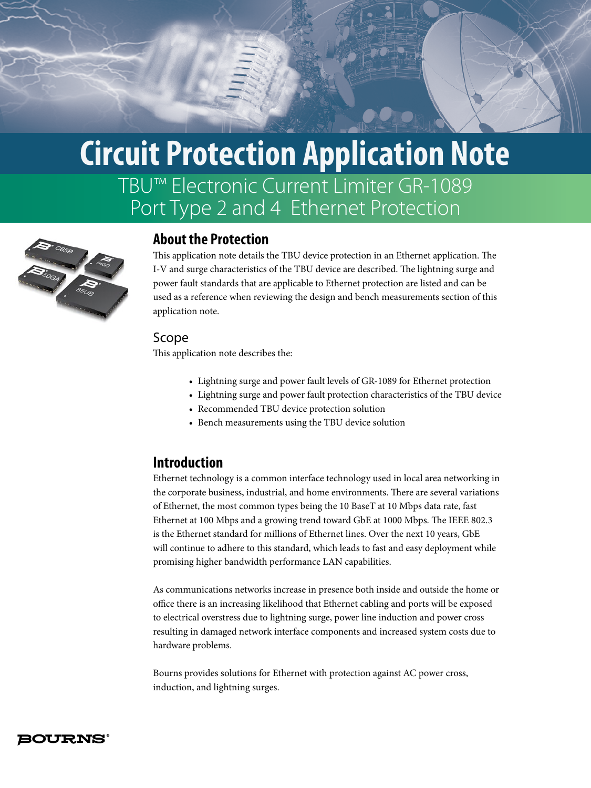# TBU™ Electronic Current Limiter GR-1089 Port Type 2 and 4 Ethernet Protection **Circuit Protection Application Note**



# **About the Protection**

This application note details the TBU device protection in an Ethernet application. The I-V and surge characteristics of the TBU device are described. The lightning surge and power fault standards that are applicable to Ethernet protection are listed and can be used as a reference when reviewing the design and bench measurements section of this application note.

#### Scope

This application note describes the:

- Lightning surge and power fault levels of GR-1089 for Ethernet protection
- Lightning surge and power fault protection characteristics of the TBU device
- Recommended TBU device protection solution
- Bench measurements using the TBU device solution

## **Introduction**

Ethernet technology is a common interface technology used in local area networking in the corporate business, industrial, and home environments. There are several variations of Ethernet, the most common types being the 10 BaseT at 10 Mbps data rate, fast Ethernet at 100 Mbps and a growing trend toward GbE at 1000 Mbps. The IEEE 802.3 is the Ethernet standard for millions of Ethernet lines. Over the next 10 years, GbE will continue to adhere to this standard, which leads to fast and easy deployment while promising higher bandwidth performance LAN capabilities.

As communications networks increase in presence both inside and outside the home or office there is an increasing likelihood that Ethernet cabling and ports will be exposed to electrical overstress due to lightning surge, power line induction and power cross resulting in damaged network interface components and increased system costs due to hardware problems.

Bourns provides solutions for Ethernet with protection against AC power cross, induction, and lightning surges.

#### **BOURNS°**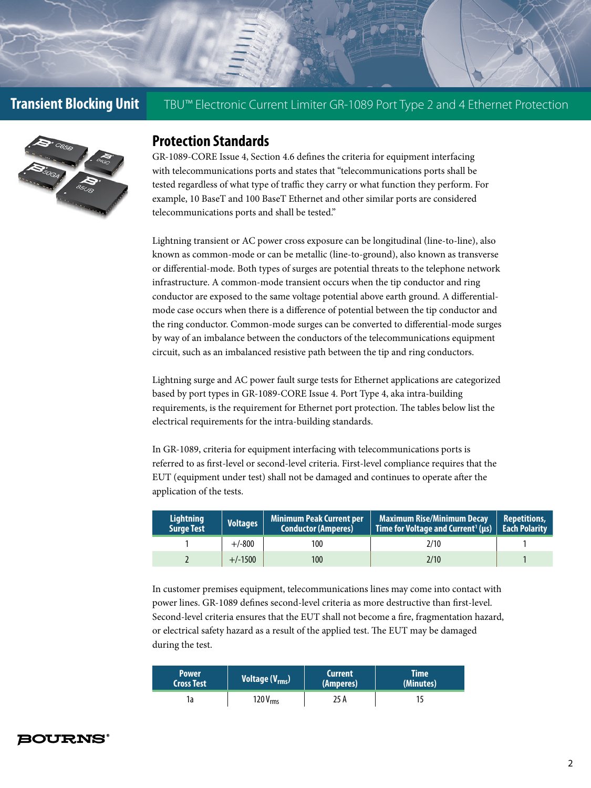

## **Protection Standards**

GR-1089-CORE Issue 4, Section 4.6 defines the criteria for equipment interfacing with telecommunications ports and states that "telecommunications ports shall be tested regardless of what type of traffic they carry or what function they perform. For example, 10 BaseT and 100 BaseT Ethernet and other similar ports are considered telecommunications ports and shall be tested."

Lightning transient or AC power cross exposure can be longitudinal (line-to-line), also known as common-mode or can be metallic (line-to-ground), also known as transverse or differential-mode. Both types of surges are potential threats to the telephone network infrastructure. A common-mode transient occurs when the tip conductor and ring conductor are exposed to the same voltage potential above earth ground. A differentialmode case occurs when there is a difference of potential between the tip conductor and the ring conductor. Common-mode surges can be converted to differential-mode surges by way of an imbalance between the conductors of the telecommunications equipment circuit, such as an imbalanced resistive path between the tip and ring conductors.

Lightning surge and AC power fault surge tests for Ethernet applications are categorized based by port types in GR-1089-CORE Issue 4. Port Type 4, aka intra-building requirements, is the requirement for Ethernet port protection. The tables below list the electrical requirements for the intra-building standards.

In GR-1089, criteria for equipment interfacing with telecommunications ports is referred to as first-level or second-level criteria. First-level compliance requires that the EUT (equipment under test) shall not be damaged and continues to operate after the application of the tests.

| Lightning<br><b>Surge Test</b> | <b>Voltages</b> | <b>Minimum Peak Current per</b><br><b>Conductor (Amperes)</b> | <b>Maximum Rise/Minimum Decay</b><br>Time for Voltage and Current <sup>1</sup> (us) $\mid$ Each Polarity | <b>Repetitions,</b> |
|--------------------------------|-----------------|---------------------------------------------------------------|----------------------------------------------------------------------------------------------------------|---------------------|
|                                | $+/-800$        | 100                                                           | 2/10                                                                                                     |                     |
|                                | $+/-1500$       | 100                                                           | 2/10                                                                                                     |                     |

In customer premises equipment, telecommunications lines may come into contact with power lines. GR-1089 defines second-level criteria as more destructive than first-level. Second-level criteria ensures that the EUT shall not become a fire, fragmentation hazard, or electrical safety hazard as a result of the applied test. The EUT may be damaged during the test.

| <b>Power</b>      | Voltage (V <sub>rms</sub> ) | <b>Current</b> | Time'     |
|-------------------|-----------------------------|----------------|-----------|
| <b>Cross Test</b> |                             | (Amperes)      | (Minutes) |
|                   | 120 $V_{rms}$               | 25 A           |           |

#### **BOURNS°**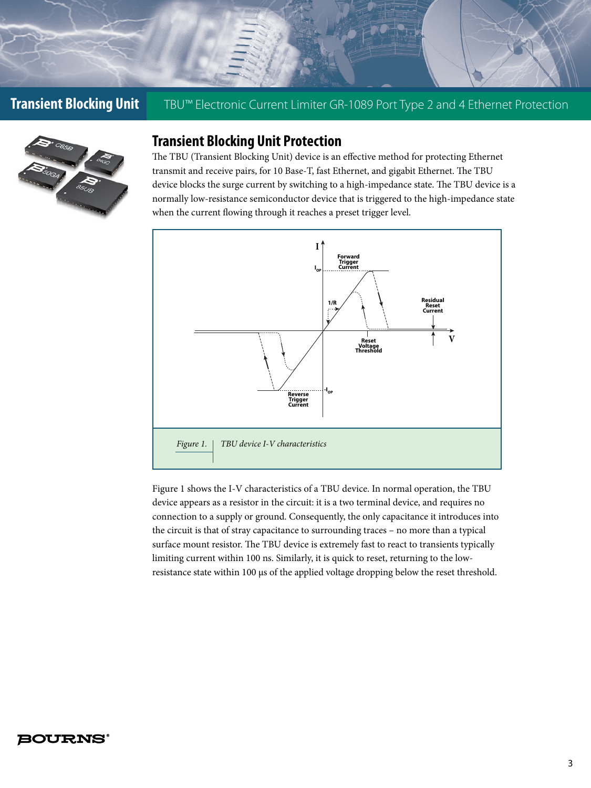

# **Transient Blocking Unit Protection**

The TBU (Transient Blocking Unit) device is an effective method for protecting Ethernet transmit and receive pairs, for 10 Base-T, fast Ethernet, and gigabit Ethernet. The TBU device blocks the surge current by switching to a high-impedance state. The TBU device is a normally low-resistance semiconductor device that is triggered to the high-impedance state when the current flowing through it reaches a preset trigger level.



Figure 1 shows the I-V characteristics of a TBU device. In normal operation, the TBU device appears as a resistor in the circuit: it is a two terminal device, and requires no connection to a supply or ground. Consequently, the only capacitance it introduces into the circuit is that of stray capacitance to surrounding traces – no more than a typical surface mount resistor. The TBU device is extremely fast to react to transients typically limiting current within 100 ns. Similarly, it is quick to reset, returning to the lowresistance state within 100 µs of the applied voltage dropping below the reset threshold.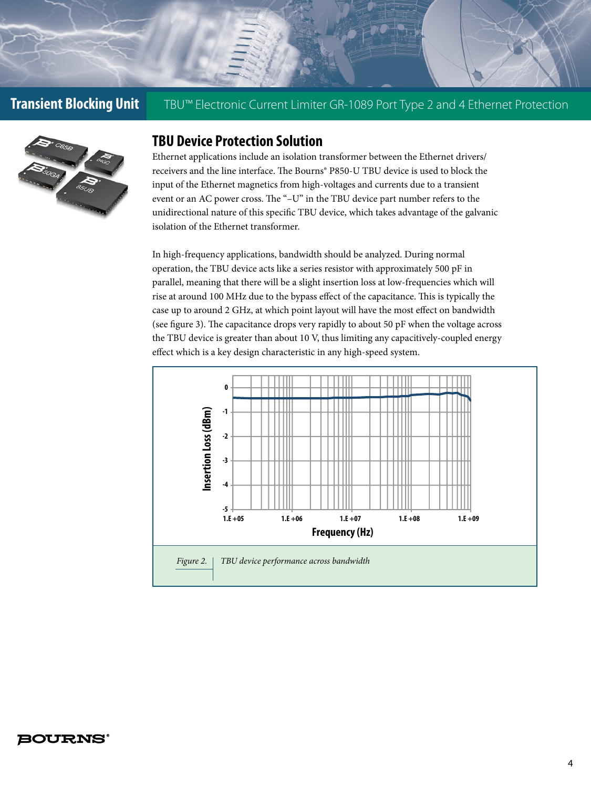

### **TBU Device Protection Solution**

Ethernet applications include an isolation transformer between the Ethernet drivers/ receivers and the line interface. The Bourns® P850-U TBU device is used to block the input of the Ethernet magnetics from high-voltages and currents due to a transient event or an AC power cross. The "–U" in the TBU device part number refers to the unidirectional nature of this specific TBU device, which takes advantage of the galvanic isolation of the Ethernet transformer.

In high-frequency applications, bandwidth should be analyzed. During normal operation, the TBU device acts like a series resistor with approximately 500 pF in parallel, meaning that there will be a slight insertion loss at low-frequencies which will rise at around 100 MHz due to the bypass effect of the capacitance. This is typically the case up to around 2 GHz, at which point layout will have the most effect on bandwidth (see figure 3). The capacitance drops very rapidly to about 50 pF when the voltage across the TBU device is greater than about 10 V, thus limiting any capacitively-coupled energy effect which is a key design characteristic in any high-speed system.

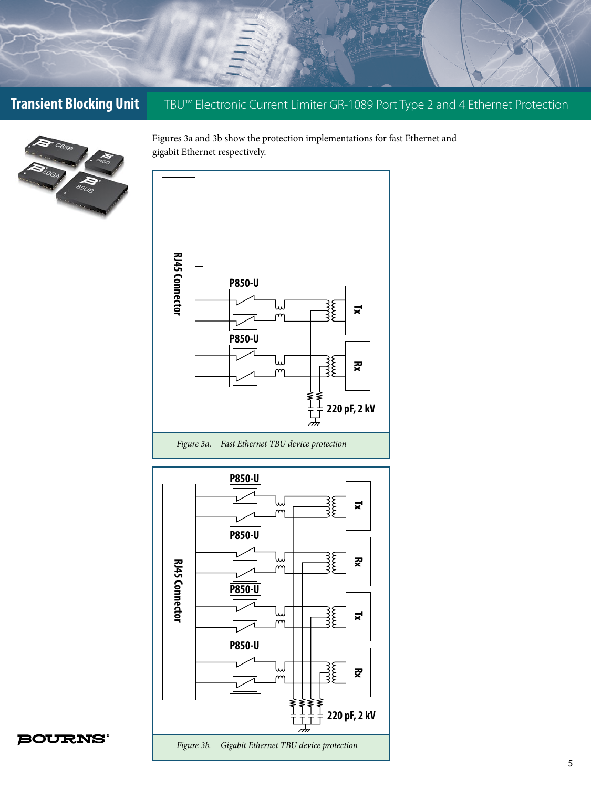

Figures 3a and 3b show the protection implementations for fast Ethernet and gigabit Ethernet respectively.



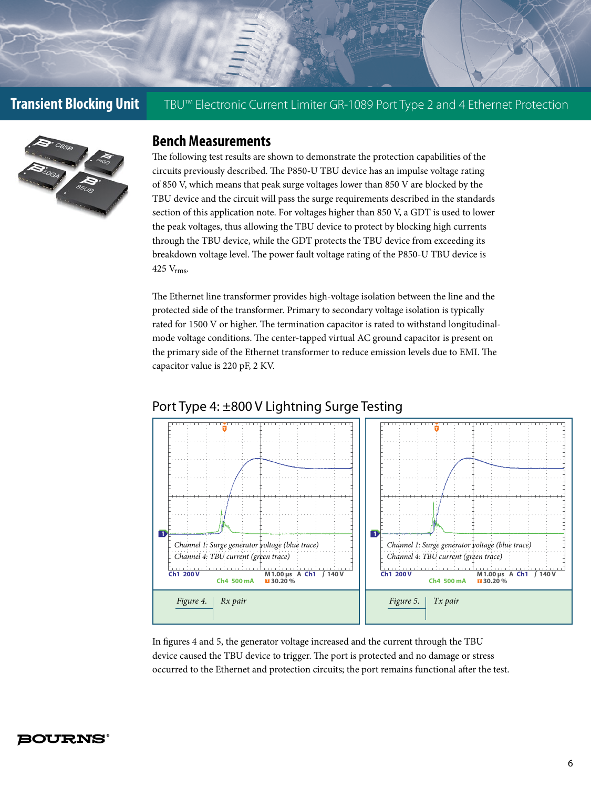

#### **Bench Measurements**

The following test results are shown to demonstrate the protection capabilities of the circuits previously described. The P850-U TBU device has an impulse voltage rating of 850 V, which means that peak surge voltages lower than 850 V are blocked by the TBU device and the circuit will pass the surge requirements described in the standards section of this application note. For voltages higher than 850 V, a GDT is used to lower the peak voltages, thus allowing the TBU device to protect by blocking high currents through the TBU device, while the GDT protects the TBU device from exceeding its breakdown voltage level. The power fault voltage rating of the P850-U TBU device is 425 Vrms.

The Ethernet line transformer provides high-voltage isolation between the line and the protected side of the transformer. Primary to secondary voltage isolation is typically rated for 1500 V or higher. The termination capacitor is rated to withstand longitudinalmode voltage conditions. The center-tapped virtual AC ground capacitor is present on the primary side of the Ethernet transformer to reduce emission levels due to EMI. The capacitor value is 220 pF, 2 KV.



#### Port Type 4: ±800 V Lightning Surge Testing

In figures 4 and 5, the generator voltage increased and the current through the TBU device caused the TBU device to trigger. The port is protected and no damage or stress occurred to the Ethernet and protection circuits; the port remains functional after the test.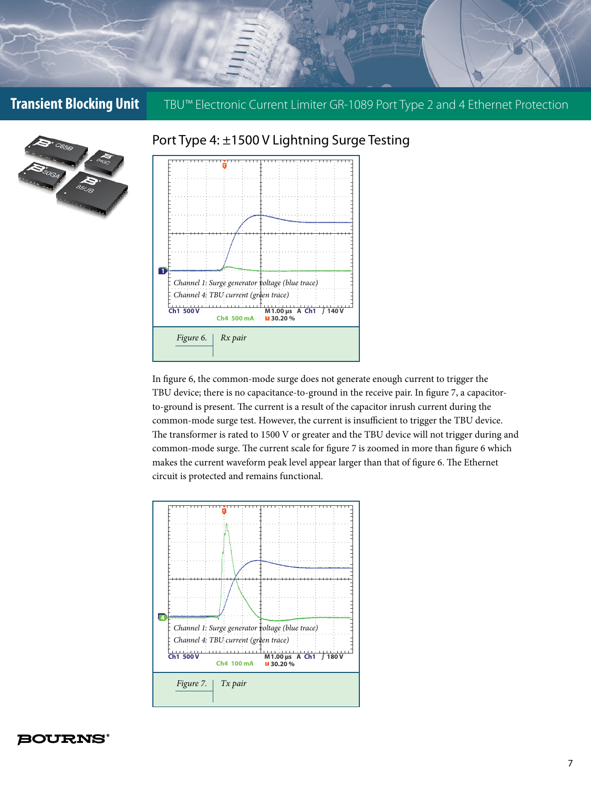

#### Port Type 4: ±1500 V Lightning Surge Testing



In figure 6, the common-mode surge does not generate enough current to trigger the TBU device; there is no capacitance-to-ground in the receive pair. In figure 7, a capacitorto-ground is present. The current is a result of the capacitor inrush current during the common-mode surge test. However, the current is insufficient to trigger the TBU device. The transformer is rated to 1500 V or greater and the TBU device will not trigger during and common-mode surge. The current scale for figure 7 is zoomed in more than figure 6 which makes the current waveform peak level appear larger than that of figure 6. The Ethernet circuit is protected and remains functional.

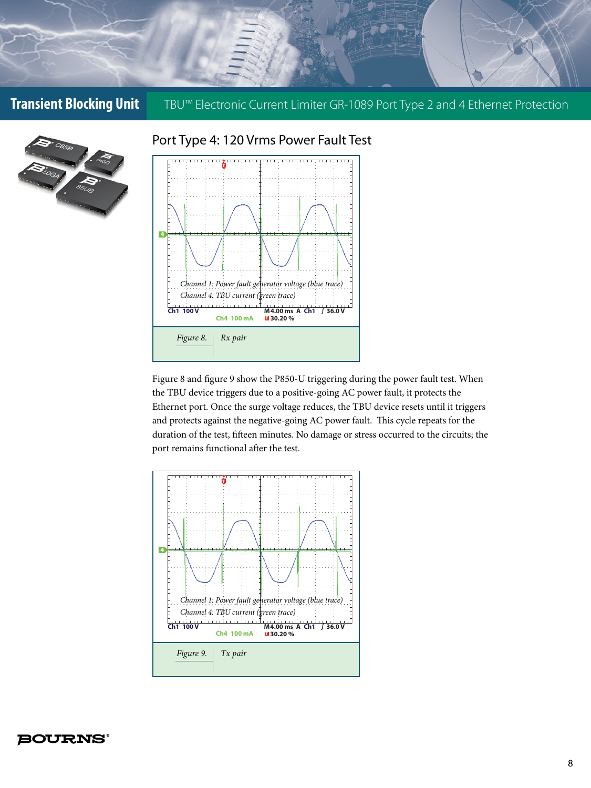![](_page_7_Picture_1.jpeg)

# Port Type 4: 120 Vrms Power Fault Test **T**

![](_page_7_Figure_3.jpeg)

Figure 8 and figure 9 show the P850-U triggering during the power fault test. When the TBU device triggers due to a positive-going AC power fault, it protects the Ethernet port. Once the surge voltage reduces, the TBU device resets until it triggers and protects against the negative-going AC power fault. This cycle repeats for the duration of the test, fifteen minutes. No damage or stress occurred to the circuits; the port remains functional after the test.

![](_page_7_Figure_5.jpeg)